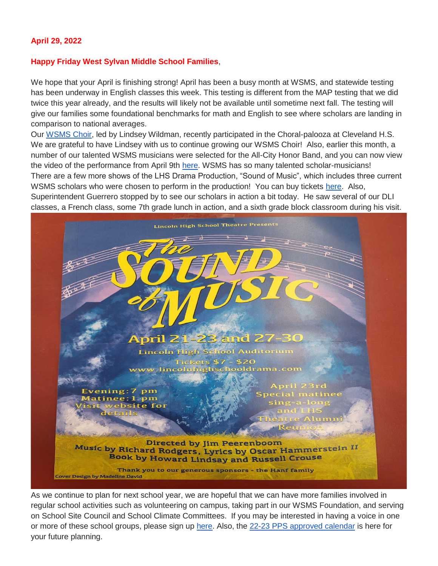### **April 29, 2022**

#### **Happy Friday West Sylvan Middle School Families**,

We hope that your April is finishing strong! April has been a busy month at WSMS, and statewide testing has been underway in English classes this week. This testing is different from the MAP testing that we did twice this year already, and the results will likely not be available until sometime next fall. The testing will give our families some foundational benchmarks for math and English to see where scholars are landing in comparison to national averages.

Our [WSMS Choir,](https://www.pps.net/cms/lib/OR01913224/Centricity/Domain/160/Choir.jpg) led by Lindsey Wildman, recently participated in the Choral-palooza at Cleveland H.S. We are grateful to have Lindsey with us to continue growing our WSMS Choir! Also, earlier this month, a number of our talented WSMS musicians were selected for the All-City Honor Band, and you can now view the video of the performance from April 9th [here.](https://youtu.be/ea3i1MG2XyI) WSMS has so many talented scholar-musicians! There are a few more shows of the LHS Drama Production, "Sound of Music", which includes three current WSMS scholars who were chosen to perform in the production! You can buy tickets [here.](https://lincolnhighschooldrama.com/current-season) Also, Superintendent Guerrero stopped by to see our scholars in action a bit today. He saw several of our DLI classes, a French class, some 7th grade lunch in action, and a sixth grade block classroom during his visit.



As we continue to plan for next school year, we are hopeful that we can have more families involved in regular school activities such as volunteering on campus, taking part in our WSMS Foundation, and serving on School Site Council and School Climate Committees. If you may be interested in having a voice in one or more of these school groups, please sign up [here.](https://forms.gle/FSm61TFDpf34yZ2e9) Also, the [22-23 PPS approved calendar](https://drive.google.com/file/d/16EfYsTSv4zPCaLpkxQlc5eFqWAvIDBtl/view?usp=sharing) is here for your future planning.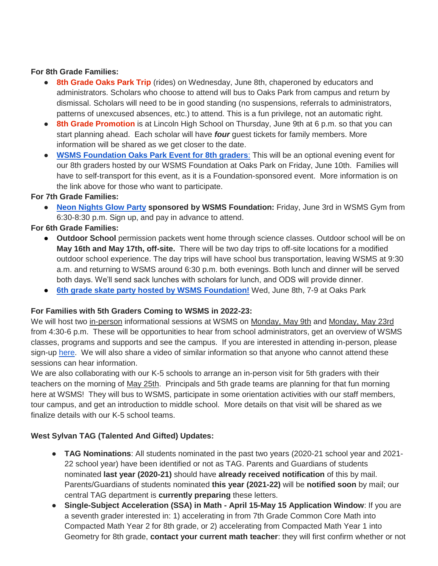### **For 8th Grade Families:**

- **8th Grade Oaks Park Trip** (rides) on Wednesday, June 8th, chaperoned by educators and administrators. Scholars who choose to attend will bus to Oaks Park from campus and return by dismissal. Scholars will need to be in good standing (no suspensions, referrals to administrators, patterns of unexcused absences, etc.) to attend. This is a fun privilege, not an automatic right.
- **8th Grade Promotion** is at Lincoln High School on Thursday, June 9th at 6 p.m. so that you can start planning ahead. Each scholar will have *four* guest tickets for family members. More information will be shared as we get closer to the date.
- **[WSMS Foundation Oaks Park Event for 8th graders](https://www.westsylvanfoundation.com/parties/8th-grade-graduation-dance-party)**[:](https://www.westsylvanfoundation.com/parties/8th-grade-graduation-dance-party) This will be an optional evening event for our 8th graders hosted by our WSMS Foundation at Oaks Park on Friday, June 10th. Families will have to self-transport for this event, as it is a Foundation-sponsored event. More information is on the link above for those who want to participate.

# **For 7th Grade Families:**

● **[Neon Nights Glow Party](https://www.westsylvanfoundation.com/parties/7thgradeglowparty) sponsored by WSMS Foundation:** Friday, June 3rd in WSMS Gym from 6:30-8:30 p.m. Sign up, and pay in advance to attend.

# **For 6th Grade Families:**

- **Outdoor School** permission packets went home through science classes. Outdoor school will be on **May 16th and May 17th, off-site.** There will be two day trips to off-site locations for a modified outdoor school experience. The day trips will have school bus transportation, leaving WSMS at 9:30 a.m. and returning to WSMS around 6:30 p.m. both evenings. Both lunch and dinner will be served both days. We'll send sack lunches with scholars for lunch, and ODS will provide dinner.
- **[6th grade skate party hosted by WSMS Foundation!](https://drive.google.com/file/d/1HX8ZSQKzyqWvLRfXLGu2Y1wta5BjPMTa/view?usp=sharing)** Wed, June 8th, 7-9 at Oaks Park

# **For Families with 5th Graders Coming to WSMS in 2022-23:**

We will host two in-person informational sessions at WSMS on Monday, May 9th and Monday, May 23rd from 4:30-6 p.m. These will be opportunities to hear from school administrators, get an overview of WSMS classes, programs and supports and see the campus. If you are interested in attending in-person, please sign-up [here.](https://forms.gle/ZnyhEwFhjWuacQd6A) We will also share a video of similar information so that anyone who cannot attend these sessions can hear information.

We are also collaborating with our K-5 schools to arrange an in-person visit for 5th graders with their teachers on the morning of May 25th. Principals and 5th grade teams are planning for that fun morning here at WSMS! They will bus to WSMS, participate in some orientation activities with our staff members, tour campus, and get an introduction to middle school. More details on that visit will be shared as we finalize details with our K-5 school teams.

# **West Sylvan TAG (Talented And Gifted) Updates:**

- **TAG Nominations**: All students nominated in the past two years (2020-21 school year and 2021- 22 school year) have been identified or not as TAG. Parents and Guardians of students nominated **last year (2020-21)** should have **already received notification** of this by mail. Parents/Guardians of students nominated **this year (2021-22)** will be **notified soon** by mail; our central TAG department is **currently preparing** these letters.
- **Single-Subject Acceleration (SSA) in Math - April 15-May 15 Application Window**: If you are a seventh grader interested in: 1) accelerating in from 7th Grade Common Core Math into Compacted Math Year 2 for 8th grade, or 2) accelerating from Compacted Math Year 1 into Geometry for 8th grade, **contact your current math teacher**: they will first confirm whether or not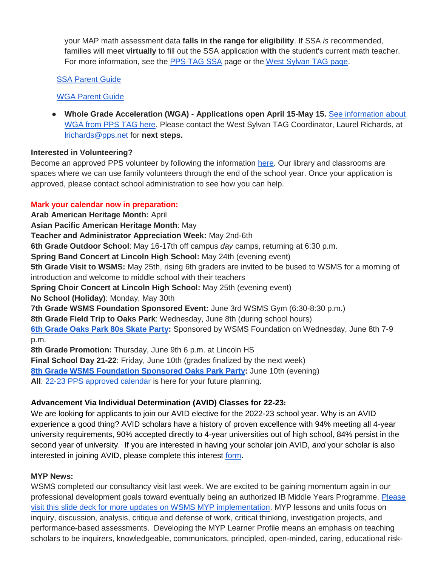your MAP math assessment data **falls in the range for eligibility**. If SSA *is* recommended, families will meet **virtually** to fill out the SSA application **with** the student's current math teacher. For more information, see the [PPS TAG SSA](https://www.pps.net/Page/2886) page or the [West Sylvan TAG page.](https://sites.google.com/pps.net/west-sylvan-tag/)

# [SSA Parent Guide](https://drive.google.com/file/d/1uyNxlw2MiYVSYrKfgEChsEQjTWw-Fz_V/view?usp=sharing)

# [WGA Parent Guide](https://drive.google.com/file/d/1AT8aGRXhvghzlB3N1zRAvzEdnpgH_EtN/view?usp=sharing)

● **Whole Grade Acceleration (WGA) - Applications open April 15-May 15.** [See information about](https://www.pps.net/Page/2888)  [WGA from PPS TAG here.](https://www.pps.net/Page/2888) Please contact the West Sylvan TAG Coordinator, Laurel Richards, at lrichards@pps.net for **next steps.**

# **Interested in Volunteering?**

Become an approved PPS volunteer by following the information [here.](https://www.pps.net/volunteer) Our library and classrooms are spaces where we can use family volunteers through the end of the school year. Once your application is approved, please contact school administration to see how you can help.

# **Mark your calendar now in preparation:**

**Arab American Heritage Month:** April **Asian Pacific American Heritage Month**: May **Teacher and Administrator Appreciation Week:** May 2nd-6th **6th Grade Outdoor School**: May 16-17th off campus *day* camps, returning at 6:30 p.m. **Spring Band Concert at Lincoln High School:** May 24th (evening event) **5th Grade Visit to WSMS:** May 25th, rising 6th graders are invited to be bused to WSMS for a morning of introduction and welcome to middle school with their teachers **Spring Choir Concert at Lincoln High School:** May 25th (evening event) **No School (Holiday)**: Monday, May 30th **7th Grade WSMS Foundation Sponsored Event:** June 3rd WSMS Gym (6:30-8:30 p.m.) **8th Grade Field Trip to Oaks Park**: Wednesday, June 8th (during school hours) **[6th Grade Oaks Park 80s Skate Party:](https://drive.google.com/file/d/1HX8ZSQKzyqWvLRfXLGu2Y1wta5BjPMTa/view?usp=sharing)** Sponsored by WSMS Foundation on Wednesday, June 8th 7-9 p.m. **8th Grade Promotion:** Thursday, June 9th 6 p.m. at Lincoln HS **Final School Day 21-22**: Friday, June 10th (grades finalized by the next week) **[8th Grade WSMS Foundation Sponsored Oaks Park Party:](https://drive.google.com/file/d/1Xmnh7GZQ4CeU37XYKCGmhbngkxRpoOOp/view?usp=sharing)** June 10th (evening)

**All**: [22-23 PPS approved calendar](https://drive.google.com/file/d/16EfYsTSv4zPCaLpkxQlc5eFqWAvIDBtl/view?usp=sharing) is here for your future planning.

# **Advancement Via Individual Determination (AVID) Classes for 22-23:**

We are looking for applicants to join our AVID elective for the 2022-23 school year. Why is an AVID experience a good thing? AVID scholars have a history of proven excellence with 94% meeting all 4-year university requirements, 90% accepted directly to 4-year universities out of high school, 84% persist in the second year of university. If you are interested in having your scholar join AVID, *and* your scholar is also interested in joining AVID, please complete this interest [form.](https://docs.google.com/forms/d/e/1FAIpQLSdpPNrTbbG1YoO1o0bwfKFg3SDu-UarWp5LE59aNPm0xsaCQg/viewform?usp=sf_link)

# **MYP News:**

WSMS completed our consultancy visit last week. We are excited to be gaining momentum again in our professional development goals toward eventually being an authorized IB Middle Years Programme. [Please](https://docs.google.com/presentation/d/17SY-I5PfW5t18hZZ0ELhA85-iVSoBrj6_zKBGUaFTP8/edit?usp=sharing)  [visit this slide deck for more updates on WSMS MYP implementation.](https://docs.google.com/presentation/d/17SY-I5PfW5t18hZZ0ELhA85-iVSoBrj6_zKBGUaFTP8/edit?usp=sharing) MYP lessons and units focus on inquiry, discussion, analysis, critique and defense of work, critical thinking, investigation projects, and performance-based assessments. Developing the MYP Learner Profile means an emphasis on teaching scholars to be inquirers, knowledgeable, communicators, principled, open-minded, caring, educational risk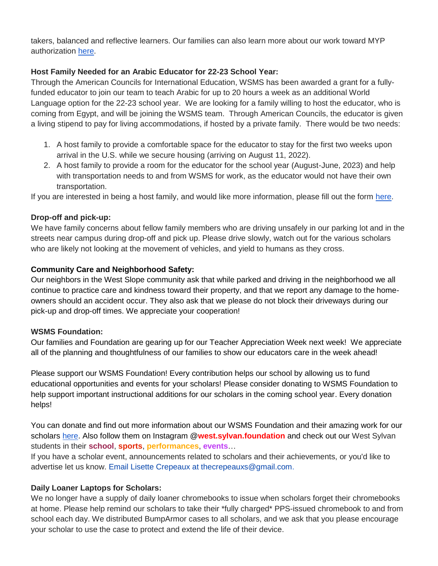takers, balanced and reflective learners. Our families can also learn more about our work toward MYP authorization [here.](https://sites.google.com/pps.net/west-sylvan-myp/)

# **Host Family Needed for an Arabic Educator for 22-23 School Year:**

Through the American Councils for International Education, WSMS has been awarded a grant for a fullyfunded educator to join our team to teach Arabic for up to 20 hours a week as an additional World Language option for the 22-23 school year. We are looking for a family willing to host the educator, who is coming from Egypt, and will be joining the WSMS team. Through American Councils, the educator is given a living stipend to pay for living accommodations, if hosted by a private family. There would be two needs:

- 1. A host family to provide a comfortable space for the educator to stay for the first two weeks upon arrival in the U.S. while we secure housing (arriving on August 11, 2022).
- 2. A host family to provide a room for the educator for the school year (August-June, 2023) and help with transportation needs to and from WSMS for work, as the educator would not have their own transportation.

If you are interested in being a host family, and would like more information, please fill out the form [here.](https://forms.gle/Ljte5CwpWQZtUZCN6)

# **Drop-off and pick-up:**

We have family concerns about fellow family members who are driving unsafely in our parking lot and in the streets near campus during drop-off and pick up. Please drive slowly, watch out for the various scholars who are likely not looking at the movement of vehicles, and yield to humans as they cross.

# **Community Care and Neighborhood Safety:**

Our neighbors in the West Slope community ask that while parked and driving in the neighborhood we all continue to practice care and kindness toward their property, and that we report any damage to the homeowners should an accident occur. They also ask that we please do not block their driveways during our pick-up and drop-off times. We appreciate your cooperation!

# **WSMS Foundation:**

Our families and Foundation are gearing up for our Teacher Appreciation Week next week! We appreciate all of the planning and thoughtfulness of our families to show our educators care in the week ahead!

Please support our WSMS Foundation! Every contribution helps our school by allowing us to fund educational opportunities and events for your scholars! Please consider donating to WSMS Foundation to help support important instructional additions for our scholars in the coming school year. Every donation helps!

You can donate and find out more information about our WSMS Foundation and their amazing work for our scholars [here.](https://www.westsylvanfoundation.com/) Also follow them on Instagram @**west.sylvan.foundation** and check out our West Sylvan students in their **school**, **sports**, **performances**, **events**…

If you have a scholar event, announcements related to scholars and their achievements, or you'd like to advertise let us know. Email Lisette Crepeaux at thecrepeauxs@gmail.com.

# **Daily Loaner Laptops for Scholars:**

We no longer have a supply of daily loaner chromebooks to issue when scholars forget their chromebooks at home. Please help remind our scholars to take their \*fully charged\* PPS-issued chromebook to and from school each day. We distributed BumpArmor cases to all scholars, and we ask that you please encourage your scholar to use the case to protect and extend the life of their device.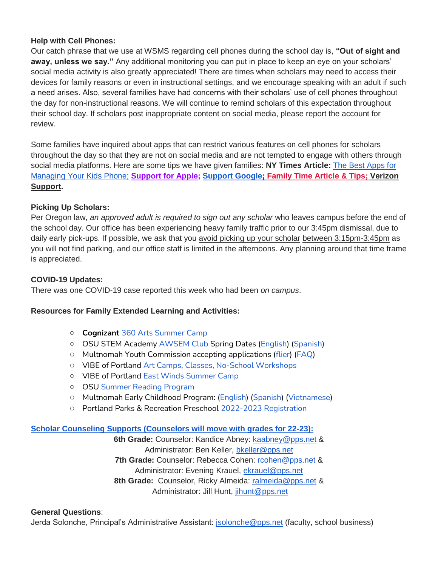### **Help with Cell Phones:**

Our catch phrase that we use at WSMS regarding cell phones during the school day is, **"Out of sight and away, unless we say."** Any additional monitoring you can put in place to keep an eye on your scholars' social media activity is also greatly appreciated! There are times when scholars may need to access their devices for family reasons or even in instructional settings, and we encourage speaking with an adult if such a need arises. Also, several families have had concerns with their scholars' use of cell phones throughout the day for non-instructional reasons. We will continue to remind scholars of this expectation throughout their school day. If scholars post inappropriate content on social media, please report the account for review.

Some families have inquired about apps that can restrict various features on cell phones for scholars throughout the day so that they are not on social media and are not tempted to engage with others through social media platforms. Here are some tips we have given families: **NY Times Article:** [The Best Apps for](https://www.nytimes.com/wirecutter/reviews/best-apps-to-manage-your-kids-phone/)  [Managing Your Kids Phone;](https://www.nytimes.com/wirecutter/reviews/best-apps-to-manage-your-kids-phone/) **Support [for Apple;](https://support.apple.com/guide/iphone/set-up-parental-controls-iph00ba7d632/ios) [Support Google](https://support.google.com/families/answer/7103340?hl=en)[;](https://familytime.io/) [Family Time Article & Tips;](https://familytime.io/) [Verizon](https://www.verizon.com/support/verizon-smart-family-restrictions-video/)  [Support.](https://www.verizon.com/support/verizon-smart-family-restrictions-video/)** 

### **Picking Up Scholars:**

Per Oregon law, *an approved adult is required to sign out any scholar* who leaves campus before the end of the school day. Our office has been experiencing heavy family traffic prior to our 3:45pm dismissal, due to daily early pick-ups. If possible, we ask that you avoid picking up your scholar between 3:15pm-3:45pm as you will not find parking, and our office staff is limited in the afternoons. Any planning around that time frame is appreciated.

### **COVID-19 Updates:**

There was one COVID-19 case reported this week who had been *on campus*.

#### **Resources for Family Extended Learning and Activities:**

- **Cognizan[t](https://www.pps.net/cms/lib/OR01913224/Centricity/Domain/254/Cognizart-2022-360ArtsCamp.pdf)** [360 Arts Summer Camp](https://www.pps.net/cms/lib/OR01913224/Centricity/Domain/254/Cognizart-2022-360ArtsCamp.pdf)
- OSU STEM Academy [AWSEM Club](https://www.pps.net/cms/lib/OR01913224/Centricity/Domain/254/AWSEM_Flyer_Combined_General.pdf) Spring Dates [\(English\)](https://www.pps.net/cms/lib/OR01913224/Centricity/Domain/254/AWSEM_spring2022_English.pdf) [\(Spanish\)](https://www.pps.net/cms/lib/OR01913224/Centricity/Domain/254/AWSEM_spring2022_Spanish.pdf)
- Multnomah Youth Commission accepting applications [\(flier\)](https://www.pps.net/cms/lib/OR01913224/Centricity/Domain/254/MYC_Recruitment-2022-23.png) [\(FAQ\)](https://www.pps.net/cms/lib/OR01913224/Centricity/Domain/254/MYC_FAQ.pdf)
- VIBE of Portland [Art Camps, Classes, No-School Workshops](https://www.pps.net/cms/lib/OR01913224/Centricity/Domain/254/VIBE.jpeg)
- VIBE of Portland [East Winds Summer Camp](https://www.pps.net/cms/lib/OR01913224/Centricity/Domain/254/VIBE-east_winds_2022.jpeg)
- OSU [Summer Reading Program](https://www.pps.net/cms/lib/OR01913224/Centricity/Domain/254/OSU-reading-summer-2022.pdf)
- Multnomah Early Childhood Program: [\(English\)](https://www.pps.net/cms/lib/OR01913224/Centricity/Domain/254/MECP-2021-22-PEER-Flyer-English.pdf) [\(Spanish\)](https://www.pps.net/cms/lib/OR01913224/Centricity/Domain/254/MECP-2021-22-PEER-Flyer-Spanish.pdf) [\(Vietnamese\)](https://www.pps.net/cms/lib/OR01913224/Centricity/Domain/254/MECP-2021-22-PEER-Flyer-Vietnamese.pdf)
- Portland Parks & Recreation Preschool [2022-2023 Registration](https://www.pps.net/cms/lib/OR01913224/Centricity/Domain/254/PPR-Preschool-22-23-price-sheet.pdf)

#### **[Scholar Counseling Supports \(Counselors will move with grades for 22-23\):](https://sites.google.com/pps.net/west-sylvan-counseling/)**

**6th Grade:** Counselor: Kandice Abney: [kaabney@pps.net](mailto:kaabney@pps.net) & Administrator: Ben Keller, [bkeller@pps.net](mailto:bkeller@pps.net) **7th Grade:** Counselor: Rebecca Cohen: [rcohen@pps.net](mailto:rcohen@pps.net) & Administrator: Evening Krauel, [ekrauel@pps.net](mailto:ekrauel@pps.net) 8th Grade: Counselor, Ricky Almeida: [ralmeida@pps.net](mailto:ralmeida@pps.net) & Administrator: Jill Hunt, [jihunt@pps.net](mailto:jihunt@pps.net)

#### **General Questions**:

Jerda Solonche, Principal's Administrative Assistant: *jsolonche@pps.net* (faculty, school business)